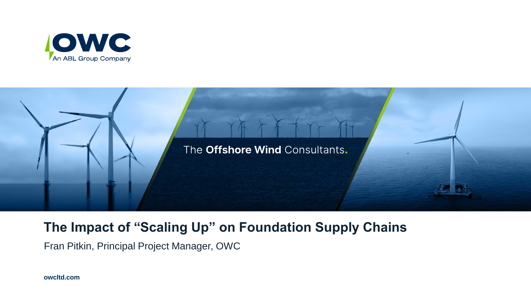



## **The Impact of "Scaling Up" on Foundation Supply Chains**

Fran Pitkin, Principal Project Manager, OWC

**owcltd.com**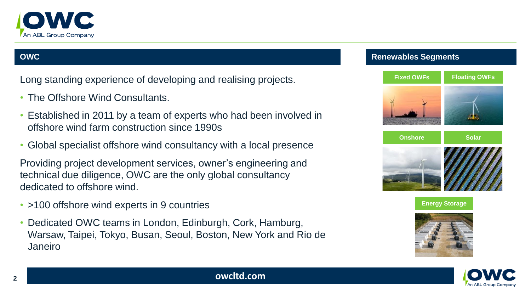

Long standing experience of developing and realising projects.

- The Offshore Wind Consultants.
- Established in 2011 by a team of experts who had been involved in offshore wind farm construction since 1990s
- Global specialist offshore wind consultancy with a local presence

Providing project development services, owner's engineering and technical due diligence, OWC are the only global consultancy dedicated to offshore wind.

- >100 offshore wind experts in 9 countries
- Dedicated OWC teams in London, Edinburgh, Cork, Hamburg, Warsaw, Taipei, Tokyo, Busan, Seoul, Boston, New York and Rio de Janeiro

#### **OWC Renewables Segments**









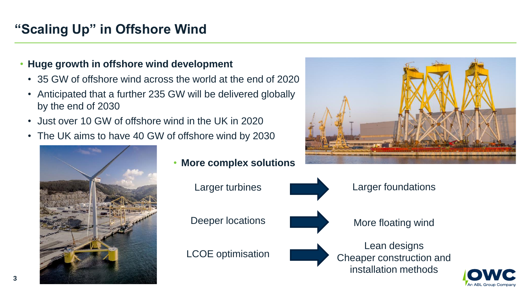# **"Scaling Up" in Offshore Wind**

#### • **Huge growth in offshore wind development**

- 35 GW of offshore wind across the world at the end of 2020
- Anticipated that a further 235 GW will be delivered globally by the end of 2030
- Just over 10 GW of offshore wind in the UK in 2020
- The UK aims to have 40 GW of offshore wind by 2030



• **More complex solutions**





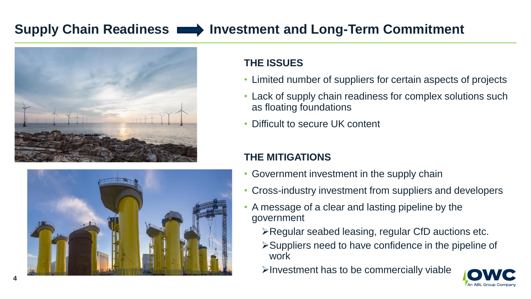## **Supply Chain Readiness Investment and Long-Term Commitment**





## **THE ISSUES**

- Limited number of suppliers for certain aspects of projects
- Lack of supply chain readiness for complex solutions such as floating foundations
- Difficult to secure UK content

### **THE MITIGATIONS**

- Government investment in the supply chain
- Cross-industry investment from suppliers and developers
- A message of a clear and lasting pipeline by the government
	- ➢Regular seabed leasing, regular CfD auctions etc.
	- ➢Suppliers need to have confidence in the pipeline of work
	- ➢Investment has to be commercially viable

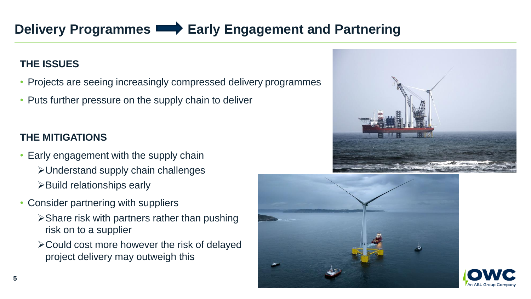# **Delivery Programmes Early Engagement and Partnering**

### **THE ISSUES**

- Projects are seeing increasingly compressed delivery programmes
- Puts further pressure on the supply chain to deliver

## **THE MITIGATIONS**

- Early engagement with the supply chain ➢Understand supply chain challenges ➢Build relationships early
- Consider partnering with suppliers
	- ➢Share risk with partners rather than pushing risk on to a supplier
	- ➢Could cost more however the risk of delayed project delivery may outweigh this







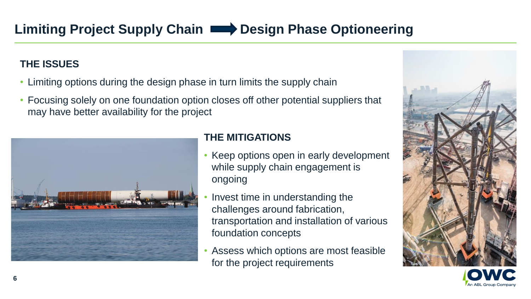### **THE ISSUES**

- Limiting options during the design phase in turn limits the supply chain
- Focusing solely on one foundation option closes off other potential suppliers that may have better availability for the project



#### **THE MITIGATIONS**

- Keep options open in early development while supply chain engagement is ongoing
- Invest time in understanding the challenges around fabrication, transportation and installation of various foundation concepts
- Assess which options are most feasible for the project requirements

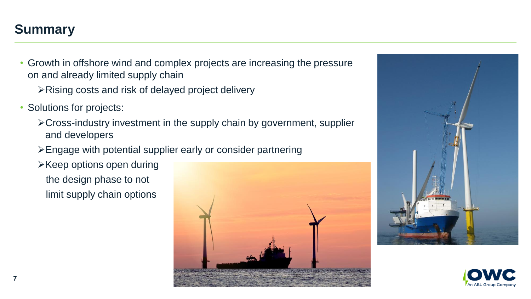## **Summary**

- Growth in offshore wind and complex projects are increasing the pressure on and already limited supply chain
	- ➢Rising costs and risk of delayed project delivery
- Solutions for projects:
	- ➢Cross-industry investment in the supply chain by government, supplier and developers
	- ➢Engage with potential supplier early or consider partnering
	- ➢Keep options open during the design phase to not
		- limit supply chain options





![](_page_6_Picture_10.jpeg)